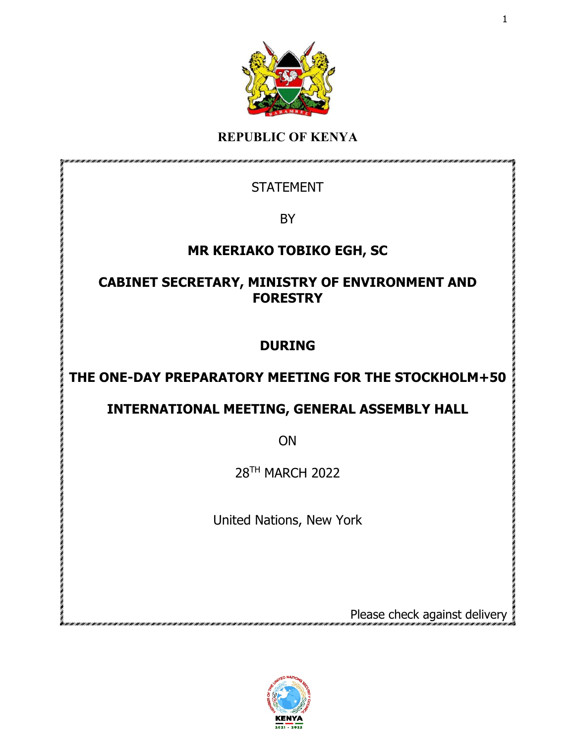

## **REPUBLIC OF KENYA**

## **STATEMENT**

**BY** 

## **MR KERIAKO TOBIKO EGH, SC**

### **CABINET SECRETARY, MINISTRY OF ENVIRONMENT AND FORESTRY**

# **DURING**

# **THE ONE-DAY PREPARATORY MEETING FOR THE STOCKHOLM+50**

# **INTERNATIONAL MEETING, GENERAL ASSEMBLY HALL**

ON

28TH MARCH 2022

United Nations, New York

Please check against delivery

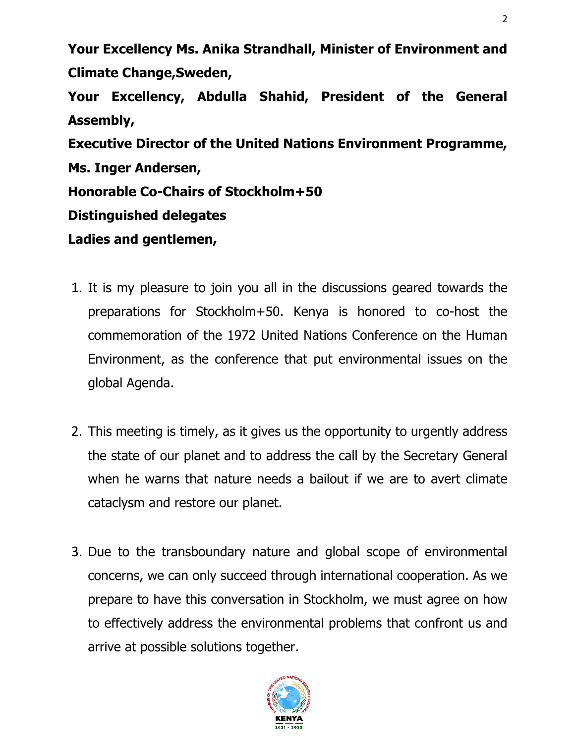**Your Excellency Ms. Anika Strandhall, Minister of Environment and Climate Change,Sweden, Your Excellency, Abdulla Shahid, President of the General Assembly, Executive Director of the United Nations Environment Programme, Ms. Inger Andersen, Honorable Co-Chairs of Stockholm+50 Distinguished delegates Ladies and gentlemen,** 

- 1. It is my pleasure to join you all in the discussions geared towards the preparations for Stockholm+50. Kenya is honored to co-host the commemoration of the 1972 United Nations Conference on the Human Environment, as the conference that put environmental issues on the global Agenda.
- 2. This meeting is timely, as it gives us the opportunity to urgently address the state of our planet and to address the call by the Secretary General when he warns that nature needs a bailout if we are to avert climate cataclysm and restore our planet.
- 3. Due to the transboundary nature and global scope of environmental concerns, we can only succeed through international cooperation. As we prepare to have this conversation in Stockholm, we must agree on how to effectively address the environmental problems that confront us and arrive at possible solutions together.

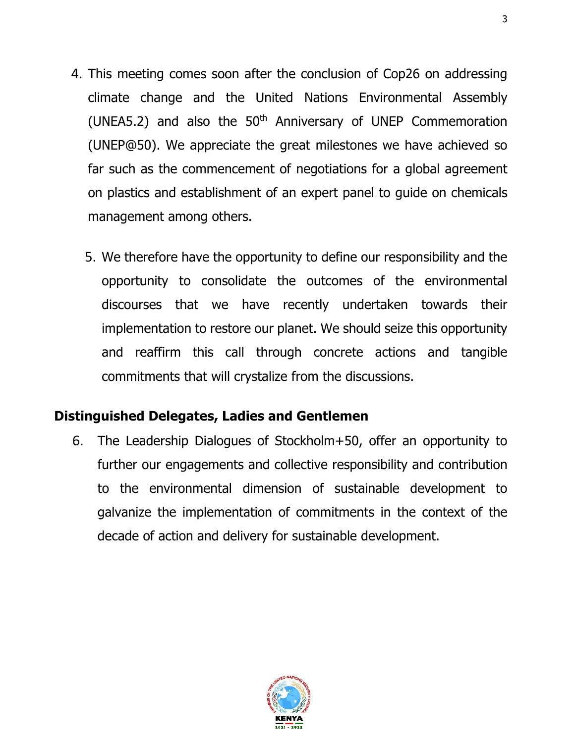- 4. This meeting comes soon after the conclusion of Cop26 on addressing climate change and the United Nations Environmental Assembly (UNEA5.2) and also the  $50<sup>th</sup>$  Anniversary of UNEP Commemoration (UNEP@50). We appreciate the great milestones we have achieved so far such as the commencement of negotiations for a global agreement on plastics and establishment of an expert panel to guide on chemicals management among others.
	- 5. We therefore have the opportunity to define our responsibility and the opportunity to consolidate the outcomes of the environmental discourses that we have recently undertaken towards their implementation to restore our planet. We should seize this opportunity and reaffirm this call through concrete actions and tangible commitments that will crystalize from the discussions.

### **Distinguished Delegates, Ladies and Gentlemen**

6. The Leadership Dialogues of Stockholm+50, offer an opportunity to further our engagements and collective responsibility and contribution to the environmental dimension of sustainable development to galvanize the implementation of commitments in the context of the decade of action and delivery for sustainable development.

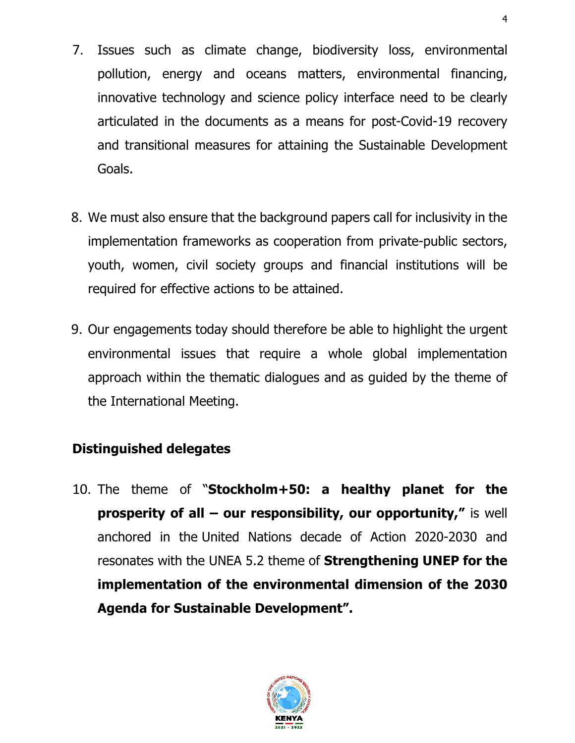- 7. Issues such as climate change, biodiversity loss, environmental pollution, energy and oceans matters, environmental financing, innovative technology and science policy interface need to be clearly articulated in the documents as a means for post-Covid-19 recovery and transitional measures for attaining the Sustainable Development Goals.
- 8. We must also ensure that the background papers call for inclusivity in the implementation frameworks as cooperation from private-public sectors, youth, women, civil society groups and financial institutions will be required for effective actions to be attained.
- 9. Our engagements today should therefore be able to highlight the urgent environmental issues that require a whole global implementation approach within the thematic dialogues and as guided by the theme of the International Meeting.

# **Distinguished delegates**

10. The theme of "**Stockholm+50: a healthy planet for the prosperity of all – our responsibility, our opportunity,"** is well anchored in the United Nations decade of Action 2020-2030 and resonates with the UNEA 5.2 theme of **Strengthening UNEP for the implementation of the environmental dimension of the 2030 Agenda for Sustainable Development".** 

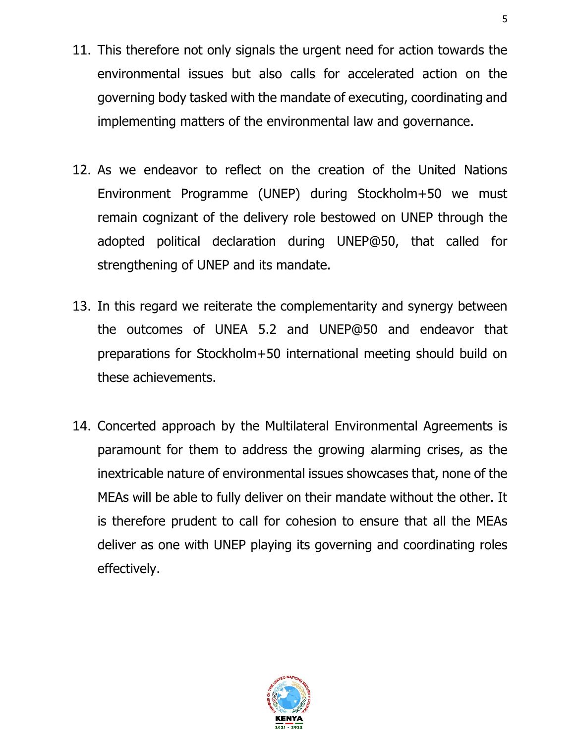- 11. This therefore not only signals the urgent need for action towards the environmental issues but also calls for accelerated action on the governing body tasked with the mandate of executing, coordinating and implementing matters of the environmental law and governance.
- 12. As we endeavor to reflect on the creation of the United Nations Environment Programme (UNEP) during Stockholm+50 we must remain cognizant of the delivery role bestowed on UNEP through the adopted political declaration during UNEP@50, that called for strengthening of UNEP and its mandate.
- 13. In this regard we reiterate the complementarity and synergy between the outcomes of UNEA 5.2 and UNEP@50 and endeavor that preparations for Stockholm+50 international meeting should build on these achievements.
- 14. Concerted approach by the Multilateral Environmental Agreements is paramount for them to address the growing alarming crises, as the inextricable nature of environmental issues showcases that, none of the MEAs will be able to fully deliver on their mandate without the other. It is therefore prudent to call for cohesion to ensure that all the MEAs deliver as one with UNEP playing its governing and coordinating roles effectively.